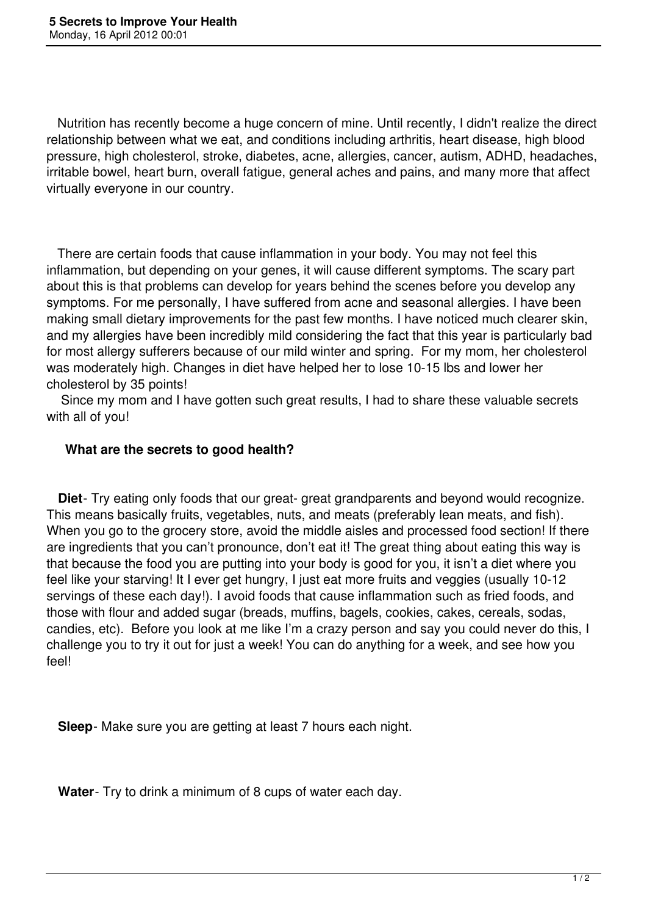Nutrition has recently become a huge concern of mine. Until recently, I didn't realize the direct relationship between what we eat, and conditions including arthritis, heart disease, high blood pressure, high cholesterol, stroke, diabetes, acne, allergies, cancer, autism, ADHD, headaches, irritable bowel, heart burn, overall fatigue, general aches and pains, and many more that affect virtually everyone in our country.

 There are certain foods that cause inflammation in your body. You may not feel this inflammation, but depending on your genes, it will cause different symptoms. The scary part about this is that problems can develop for years behind the scenes before you develop any symptoms. For me personally, I have suffered from acne and seasonal allergies. I have been making small dietary improvements for the past few months. I have noticed much clearer skin, and my allergies have been incredibly mild considering the fact that this year is particularly bad for most allergy sufferers because of our mild winter and spring. For my mom, her cholesterol was moderately high. Changes in diet have helped her to lose 10-15 lbs and lower her cholesterol by 35 points!

 Since my mom and I have gotten such great results, I had to share these valuable secrets with all of you!

## **What are the secrets to good health?**

 **Diet**- Try eating only foods that our great- great grandparents and beyond would recognize. This means basically fruits, vegetables, nuts, and meats (preferably lean meats, and fish). When you go to the grocery store, avoid the middle aisles and processed food section! If there are ingredients that you can't pronounce, don't eat it! The great thing about eating this way is that because the food you are putting into your body is good for you, it isn't a diet where you feel like your starving! It I ever get hungry, I just eat more fruits and veggies (usually 10-12 servings of these each day!). I avoid foods that cause inflammation such as fried foods, and those with flour and added sugar (breads, muffins, bagels, cookies, cakes, cereals, sodas, candies, etc). Before you look at me like I'm a crazy person and say you could never do this, I challenge you to try it out for just a week! You can do anything for a week, and see how you feel!

**Sleep**- Make sure you are getting at least 7 hours each night.

**Water**- Try to drink a minimum of 8 cups of water each day.